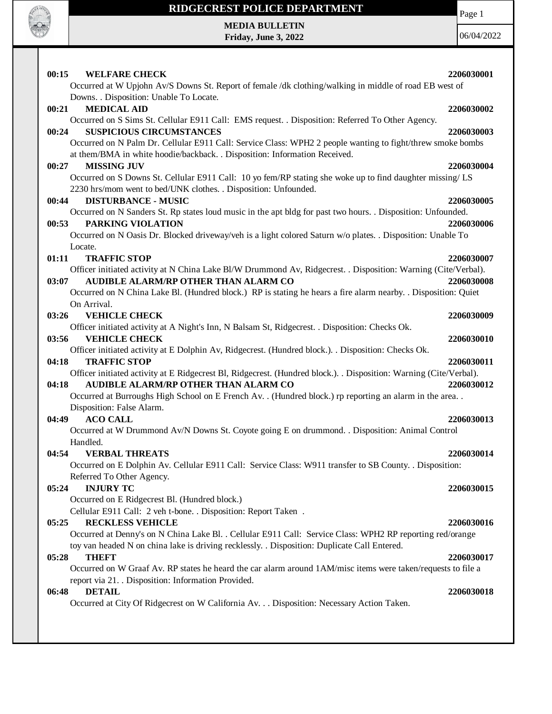

 $\mathbf{I}$ 

### **RIDGECREST POLICE DEPARTMENT**

Page 1

**MEDIA BULLETIN Friday, June 3, 2022**

| 00:15<br><b>WELFARE CHECK</b><br>Occurred at W Upjohn Av/S Downs St. Report of female /dk clothing/walking in middle of road EB west of                           | 2206030001 |
|-------------------------------------------------------------------------------------------------------------------------------------------------------------------|------------|
| Downs. . Disposition: Unable To Locate.                                                                                                                           |            |
| <b>MEDICAL AID</b><br>00:21                                                                                                                                       | 2206030002 |
| Occurred on S Sims St. Cellular E911 Call: EMS request. . Disposition: Referred To Other Agency.                                                                  |            |
| <b>SUSPICIOUS CIRCUMSTANCES</b><br>00:24                                                                                                                          | 2206030003 |
| Occurred on N Palm Dr. Cellular E911 Call: Service Class: WPH2 2 people wanting to fight/threw smoke bombs                                                        |            |
| at them/BMA in white hoodie/backback. . Disposition: Information Received.                                                                                        |            |
| <b>MISSING JUV</b><br>00:27                                                                                                                                       | 2206030004 |
| Occurred on S Downs St. Cellular E911 Call: 10 yo fem/RP stating she woke up to find daughter missing/ LS                                                         |            |
| 2230 hrs/mom went to bed/UNK clothes. . Disposition: Unfounded.<br><b>DISTURBANCE - MUSIC</b><br>00:44                                                            | 2206030005 |
| Occurred on N Sanders St. Rp states loud music in the apt bldg for past two hours. . Disposition: Unfounded.                                                      |            |
| 00:53<br>PARKING VIOLATION                                                                                                                                        | 2206030006 |
| Occurred on N Oasis Dr. Blocked driveway/veh is a light colored Saturn w/o plates. . Disposition: Unable To                                                       |            |
| Locate.                                                                                                                                                           |            |
| <b>TRAFFIC STOP</b><br>01:11                                                                                                                                      | 2206030007 |
| Officer initiated activity at N China Lake Bl/W Drummond Av, Ridgecrest. . Disposition: Warning (Cite/Verbal).                                                    |            |
| AUDIBLE ALARM/RP OTHER THAN ALARM CO<br>03:07                                                                                                                     | 2206030008 |
| Occurred on N China Lake Bl. (Hundred block.) RP is stating he hears a fire alarm nearby. . Disposition: Quiet                                                    |            |
| On Arrival.                                                                                                                                                       |            |
| 03:26<br><b>VEHICLE CHECK</b>                                                                                                                                     | 2206030009 |
| Officer initiated activity at A Night's Inn, N Balsam St, Ridgecrest. . Disposition: Checks Ok.                                                                   |            |
| 03:56<br><b>VEHICLE CHECK</b>                                                                                                                                     | 2206030010 |
| Officer initiated activity at E Dolphin Av, Ridgecrest. (Hundred block.). . Disposition: Checks Ok.                                                               |            |
| 04:18<br><b>TRAFFIC STOP</b>                                                                                                                                      | 2206030011 |
| Officer initiated activity at E Ridgecrest Bl, Ridgecrest. (Hundred block.). Disposition: Warning (Cite/Verbal).<br>AUDIBLE ALARM/RP OTHER THAN ALARM CO<br>04:18 | 2206030012 |
| Occurred at Burroughs High School on E French Av. . (Hundred block.) rp reporting an alarm in the area. .                                                         |            |
| Disposition: False Alarm.                                                                                                                                         |            |
| <b>ACO CALL</b><br>04:49                                                                                                                                          | 2206030013 |
| Occurred at W Drummond Av/N Downs St. Coyote going E on drummond. . Disposition: Animal Control                                                                   |            |
| Handled.                                                                                                                                                          |            |
| <b>VERBAL THREATS</b><br>04:54                                                                                                                                    | 2206030014 |
| Occurred on E Dolphin Av. Cellular E911 Call: Service Class: W911 transfer to SB County. . Disposition:                                                           |            |
| Referred To Other Agency.                                                                                                                                         |            |
| <b>INJURY TC</b><br>05:24                                                                                                                                         | 2206030015 |
| Occurred on E Ridgecrest Bl. (Hundred block.)                                                                                                                     |            |
| Cellular E911 Call: 2 veh t-bone. . Disposition: Report Taken .                                                                                                   |            |
| 05:25<br><b>RECKLESS VEHICLE</b>                                                                                                                                  | 2206030016 |
| Occurred at Denny's on N China Lake Bl. . Cellular E911 Call: Service Class: WPH2 RP reporting red/orange                                                         |            |
| toy van headed N on china lake is driving recklessly. . Disposition: Duplicate Call Entered.<br><b>THEFT</b><br>05:28                                             | 2206030017 |
| Occurred on W Graaf Av. RP states he heard the car alarm around 1AM/misc items were taken/requests to file a                                                      |            |
| report via 21. Disposition: Information Provided.                                                                                                                 |            |
| <b>DETAIL</b><br>06:48                                                                                                                                            | 2206030018 |
| Occurred at City Of Ridgecrest on W California Av. Disposition: Necessary Action Taken.                                                                           |            |
|                                                                                                                                                                   |            |
|                                                                                                                                                                   |            |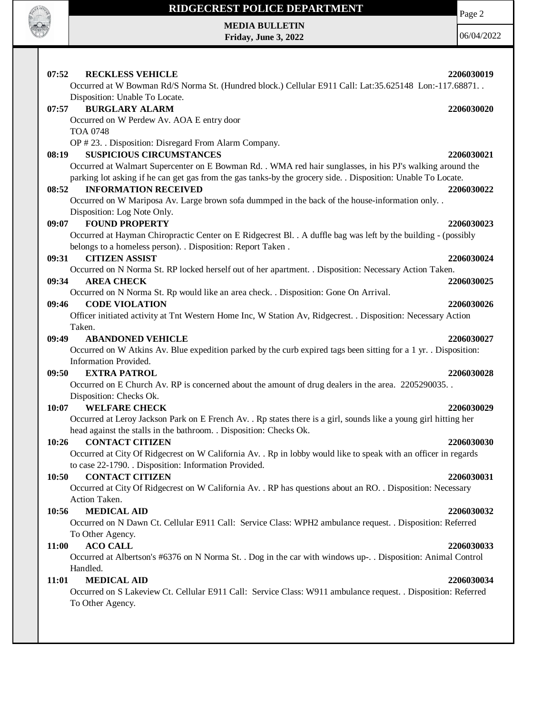

 $\mathbf{I}$ 

# **RIDGECREST POLICE DEPARTMENT**

**MEDIA BULLETIN Friday, June 3, 2022**

06/04/2022

Page 2

| 07:52 | <b>RECKLESS VEHICLE</b>                                                                                          | 2206030019 |
|-------|------------------------------------------------------------------------------------------------------------------|------------|
|       | Occurred at W Bowman Rd/S Norma St. (Hundred block.) Cellular E911 Call: Lat:35.625148 Lon:-117.68871. .         |            |
|       | Disposition: Unable To Locate.                                                                                   |            |
| 07:57 | <b>BURGLARY ALARM</b>                                                                                            | 2206030020 |
|       | Occurred on W Perdew Av. AOA E entry door                                                                        |            |
|       | <b>TOA 0748</b>                                                                                                  |            |
|       | OP #23. . Disposition: Disregard From Alarm Company.                                                             |            |
| 08:19 | <b>SUSPICIOUS CIRCUMSTANCES</b>                                                                                  | 2206030021 |
|       | Occurred at Walmart Supercenter on E Bowman Rd. . WMA red hair sunglasses, in his PJ's walking around the        |            |
|       | parking lot asking if he can get gas from the gas tanks-by the grocery side. . Disposition: Unable To Locate.    |            |
| 08:52 | <b>INFORMATION RECEIVED</b>                                                                                      | 2206030022 |
|       | Occurred on W Mariposa Av. Large brown sofa dummped in the back of the house-information only. .                 |            |
|       | Disposition: Log Note Only.                                                                                      |            |
| 09:07 | <b>FOUND PROPERTY</b>                                                                                            | 2206030023 |
|       | Occurred at Hayman Chiropractic Center on E Ridgecrest Bl. . A duffle bag was left by the building - (possibly   |            |
|       | belongs to a homeless person). . Disposition: Report Taken.                                                      |            |
| 09:31 | <b>CITIZEN ASSIST</b>                                                                                            | 2206030024 |
|       | Occurred on N Norma St. RP locked herself out of her apartment. . Disposition: Necessary Action Taken.           |            |
| 09:34 | <b>AREA CHECK</b>                                                                                                | 2206030025 |
|       | Occurred on N Norma St. Rp would like an area check. . Disposition: Gone On Arrival.                             |            |
| 09:46 | <b>CODE VIOLATION</b>                                                                                            | 2206030026 |
|       | Officer initiated activity at Tnt Western Home Inc, W Station Av, Ridgecrest. . Disposition: Necessary Action    |            |
|       | Taken.                                                                                                           |            |
| 09:49 | <b>ABANDONED VEHICLE</b>                                                                                         | 2206030027 |
|       | Occurred on W Atkins Av. Blue expedition parked by the curb expired tags been sitting for a 1 yr. Disposition:   |            |
|       | Information Provided.                                                                                            |            |
| 09:50 | <b>EXTRA PATROL</b>                                                                                              | 2206030028 |
|       | Occurred on E Church Av. RP is concerned about the amount of drug dealers in the area. 2205290035.               |            |
|       | Disposition: Checks Ok.                                                                                          |            |
| 10:07 | <b>WELFARE CHECK</b>                                                                                             | 2206030029 |
|       | Occurred at Leroy Jackson Park on E French Av. . Rp states there is a girl, sounds like a young girl hitting her |            |
|       | head against the stalls in the bathroom. . Disposition: Checks Ok.                                               |            |
| 10:26 | <b>CONTACT CITIZEN</b>                                                                                           | 2206030030 |
|       | Occurred at City Of Ridgecrest on W California Av. . Rp in lobby would like to speak with an officer in regards  |            |
|       | to case 22-1790. . Disposition: Information Provided.                                                            |            |
| 10:50 | <b>CONTACT CITIZEN</b>                                                                                           | 2206030031 |
|       | Occurred at City Of Ridgecrest on W California Av. . RP has questions about an RO. . Disposition: Necessary      |            |
|       | Action Taken.                                                                                                    |            |
| 10:56 | <b>MEDICAL AID</b>                                                                                               | 2206030032 |
|       | Occurred on N Dawn Ct. Cellular E911 Call: Service Class: WPH2 ambulance request. . Disposition: Referred        |            |
|       | To Other Agency.                                                                                                 |            |
| 11:00 | <b>ACO CALL</b>                                                                                                  | 2206030033 |
|       | Occurred at Albertson's #6376 on N Norma St. . Dog in the car with windows up-. . Disposition: Animal Control    |            |
|       | Handled.                                                                                                         |            |
| 11:01 | <b>MEDICAL AID</b>                                                                                               | 2206030034 |
|       | Occurred on S Lakeview Ct. Cellular E911 Call: Service Class: W911 ambulance request. . Disposition: Referred    |            |
|       | To Other Agency.                                                                                                 |            |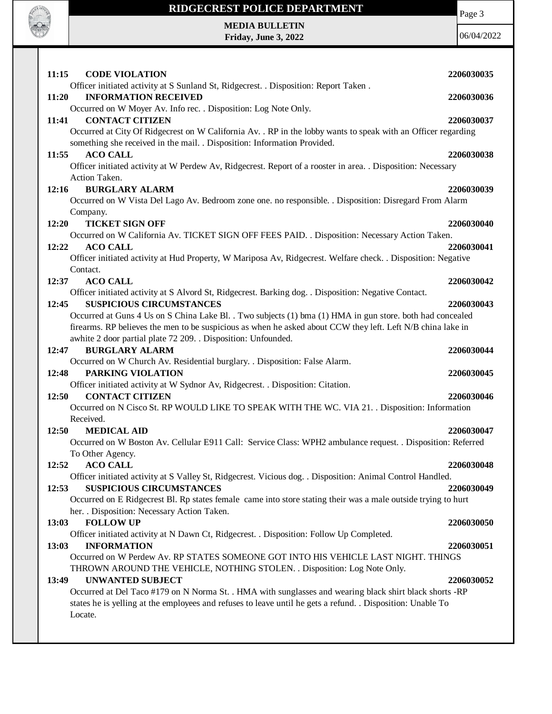

#### **RIDGECREST POLICE DEPARTMENT**

Page 3

**MEDIA BULLETIN Friday, June 3, 2022**

| 11:15<br><b>CODE VIOLATION</b>                                                                                                                                                                                                                                                                                                        | 2206030035               |
|---------------------------------------------------------------------------------------------------------------------------------------------------------------------------------------------------------------------------------------------------------------------------------------------------------------------------------------|--------------------------|
| Officer initiated activity at S Sunland St, Ridgecrest. . Disposition: Report Taken.<br><b>INFORMATION RECEIVED</b><br>11:20                                                                                                                                                                                                          | 2206030036               |
| Occurred on W Moyer Av. Info rec. . Disposition: Log Note Only.<br><b>CONTACT CITIZEN</b><br>11:41<br>Occurred at City Of Ridgecrest on W California Av. . RP in the lobby wants to speak with an Officer regarding                                                                                                                   | 2206030037               |
| something she received in the mail. . Disposition: Information Provided.<br><b>ACO CALL</b><br>11:55<br>Officer initiated activity at W Perdew Av, Ridgecrest. Report of a rooster in area. . Disposition: Necessary                                                                                                                  | 2206030038               |
| Action Taken.                                                                                                                                                                                                                                                                                                                         |                          |
| <b>BURGLARY ALARM</b><br>12:16<br>Occurred on W Vista Del Lago Av. Bedroom zone one. no responsible. . Disposition: Disregard From Alarm<br>Company.                                                                                                                                                                                  | 2206030039               |
| 12:20<br><b>TICKET SIGN OFF</b><br>Occurred on W California Av. TICKET SIGN OFF FEES PAID. . Disposition: Necessary Action Taken.                                                                                                                                                                                                     | 2206030040               |
| 12:22<br><b>ACO CALL</b><br>Officer initiated activity at Hud Property, W Mariposa Av, Ridgecrest. Welfare check. . Disposition: Negative                                                                                                                                                                                             | 2206030041               |
| Contact.<br><b>ACO CALL</b><br>12:37<br>Officer initiated activity at S Alvord St, Ridgecrest. Barking dog. . Disposition: Negative Contact.                                                                                                                                                                                          | 2206030042               |
| 12:45<br><b>SUSPICIOUS CIRCUMSTANCES</b><br>Occurred at Guns 4 Us on S China Lake Bl. . Two subjects (1) bma (1) HMA in gun store. both had concealed<br>firearms. RP believes the men to be suspicious as when he asked about CCW they left. Left N/B china lake in<br>awhite 2 door partial plate 72 209. . Disposition: Unfounded. | 2206030043               |
| <b>BURGLARY ALARM</b><br>12:47<br>Occurred on W Church Av. Residential burglary. . Disposition: False Alarm.                                                                                                                                                                                                                          | 2206030044               |
| 12:48<br>PARKING VIOLATION<br>Officer initiated activity at W Sydnor Av, Ridgecrest. . Disposition: Citation.                                                                                                                                                                                                                         | 2206030045               |
| <b>CONTACT CITIZEN</b><br>12:50<br>Occurred on N Cisco St. RP WOULD LIKE TO SPEAK WITH THE WC. VIA 21. . Disposition: Information<br>Received.                                                                                                                                                                                        | 2206030046               |
| 12:50<br><b>MEDICAL AID</b><br>Occurred on W Boston Av. Cellular E911 Call: Service Class: WPH2 ambulance request. . Disposition: Referred<br>To Other Agency.                                                                                                                                                                        | 2206030047               |
| 12:52<br><b>ACO CALL</b><br>Officer initiated activity at S Valley St, Ridgecrest. Vicious dog. . Disposition: Animal Control Handled.<br><b>SUSPICIOUS CIRCUMSTANCES</b><br>12:53                                                                                                                                                    | 2206030048<br>2206030049 |
| Occurred on E Ridgecrest Bl. Rp states female came into store stating their was a male outside trying to hurt<br>her. . Disposition: Necessary Action Taken.                                                                                                                                                                          |                          |
| 13:03<br><b>FOLLOW UP</b><br>Officer initiated activity at N Dawn Ct, Ridgecrest. . Disposition: Follow Up Completed.                                                                                                                                                                                                                 | 2206030050               |
| <b>INFORMATION</b><br>13:03<br>Occurred on W Perdew Av. RP STATES SOMEONE GOT INTO HIS VEHICLE LAST NIGHT. THINGS<br>THROWN AROUND THE VEHICLE, NOTHING STOLEN. . Disposition: Log Note Only.                                                                                                                                         | 2206030051               |
| 13:49<br><b>UNWANTED SUBJECT</b><br>Occurred at Del Taco #179 on N Norma St. . HMA with sunglasses and wearing black shirt black shorts -RP<br>states he is yelling at the employees and refuses to leave until he gets a refund. . Disposition: Unable To<br>Locate.                                                                 | 2206030052               |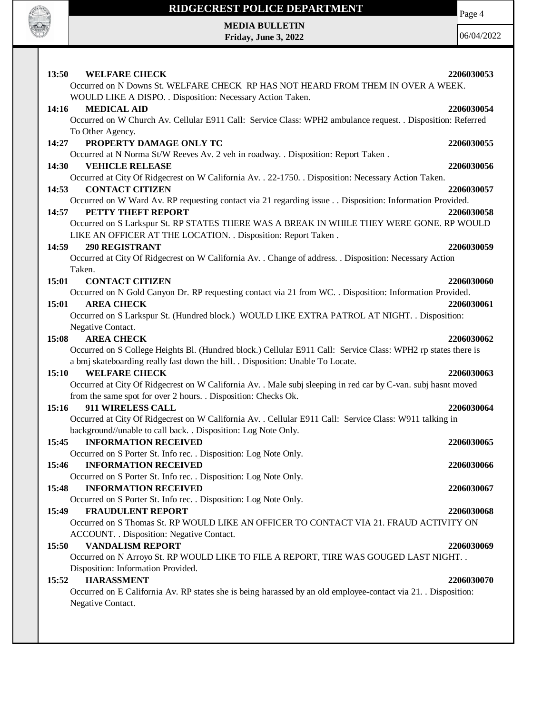

### **RIDGECREST POLICE DEPARTMENT**

Page 4

**MEDIA BULLETIN Friday, June 3, 2022**

| <b>13:50</b> | <b>WELFARE CHECK</b>                                                                                               | 2206030053 |
|--------------|--------------------------------------------------------------------------------------------------------------------|------------|
|              | Occurred on N Downs St. WELFARE CHECK RP HAS NOT HEARD FROM THEM IN OVER A WEEK.                                   |            |
|              | WOULD LIKE A DISPO. . Disposition: Necessary Action Taken.                                                         |            |
| 14:16        | <b>MEDICAL AID</b>                                                                                                 | 2206030054 |
|              | Occurred on W Church Av. Cellular E911 Call: Service Class: WPH2 ambulance request. . Disposition: Referred        |            |
|              | To Other Agency.                                                                                                   |            |
| 14:27        | PROPERTY DAMAGE ONLY TC                                                                                            | 2206030055 |
|              | Occurred at N Norma St/W Reeves Av. 2 veh in roadway. . Disposition: Report Taken.                                 |            |
| 14:30        | <b>VEHICLE RELEASE</b>                                                                                             | 2206030056 |
|              | Occurred at City Of Ridgecrest on W California Av. . 22-1750. . Disposition: Necessary Action Taken.               |            |
| 14:53        | <b>CONTACT CITIZEN</b>                                                                                             | 2206030057 |
|              | Occurred on W Ward Av. RP requesting contact via 21 regarding issue Disposition: Information Provided.             |            |
| 14:57        | PETTY THEFT REPORT                                                                                                 | 2206030058 |
|              | Occurred on S Larkspur St. RP STATES THERE WAS A BREAK IN WHILE THEY WERE GONE. RP WOULD                           |            |
|              | LIKE AN OFFICER AT THE LOCATION. . Disposition: Report Taken.                                                      |            |
| 14:59        | <b>290 REGISTRANT</b>                                                                                              | 2206030059 |
|              | Occurred at City Of Ridgecrest on W California Av. . Change of address. . Disposition: Necessary Action            |            |
|              | Taken.                                                                                                             |            |
| 15:01        | <b>CONTACT CITIZEN</b>                                                                                             | 2206030060 |
|              | Occurred on N Gold Canyon Dr. RP requesting contact via 21 from WC. . Disposition: Information Provided.           |            |
| 15:01        | <b>AREA CHECK</b>                                                                                                  | 2206030061 |
|              | Occurred on S Larkspur St. (Hundred block.) WOULD LIKE EXTRA PATROL AT NIGHT. . Disposition:                       |            |
|              | Negative Contact.                                                                                                  |            |
| 15:08        | <b>AREA CHECK</b>                                                                                                  | 2206030062 |
|              | Occurred on S College Heights Bl. (Hundred block.) Cellular E911 Call: Service Class: WPH2 rp states there is      |            |
|              | a bmj skateboarding really fast down the hill. . Disposition: Unable To Locate.                                    |            |
| 15:10        | <b>WELFARE CHECK</b>                                                                                               | 2206030063 |
|              | Occurred at City Of Ridgecrest on W California Av. . Male subj sleeping in red car by C-van. subj hasnt moved      |            |
|              | from the same spot for over 2 hours. . Disposition: Checks Ok.                                                     |            |
| 15:16        | 911 WIRELESS CALL                                                                                                  | 2206030064 |
|              | Occurred at City Of Ridgecrest on W California Av. . Cellular E911 Call: Service Class: W911 talking in            |            |
|              | background//unable to call back. . Disposition: Log Note Only.                                                     |            |
| 15:45        | <b>INFORMATION RECEIVED</b>                                                                                        | 2206030065 |
|              | Occurred on S Porter St. Info rec. . Disposition: Log Note Only.                                                   |            |
|              | <b>15:46 INFORMATION RECEIVED</b>                                                                                  | 2206030066 |
|              | Occurred on S Porter St. Info rec. . Disposition: Log Note Only.                                                   |            |
| 15:48        | <b>INFORMATION RECEIVED</b>                                                                                        | 2206030067 |
|              | Occurred on S Porter St. Info rec. . Disposition: Log Note Only.                                                   |            |
| 15:49        | <b>FRAUDULENT REPORT</b><br>Occurred on S Thomas St. RP WOULD LIKE AN OFFICER TO CONTACT VIA 21. FRAUD ACTIVITY ON | 2206030068 |
|              | ACCOUNT. . Disposition: Negative Contact.                                                                          |            |
| 15:50        | <b>VANDALISM REPORT</b>                                                                                            | 2206030069 |
|              | Occurred on N Arroyo St. RP WOULD LIKE TO FILE A REPORT, TIRE WAS GOUGED LAST NIGHT. .                             |            |
|              | Disposition: Information Provided.                                                                                 |            |
| 15:52        | <b>HARASSMENT</b>                                                                                                  | 2206030070 |
|              | Occurred on E California Av. RP states she is being harassed by an old employee-contact via 21. Disposition:       |            |
|              | Negative Contact.                                                                                                  |            |
|              |                                                                                                                    |            |
|              |                                                                                                                    |            |
|              |                                                                                                                    |            |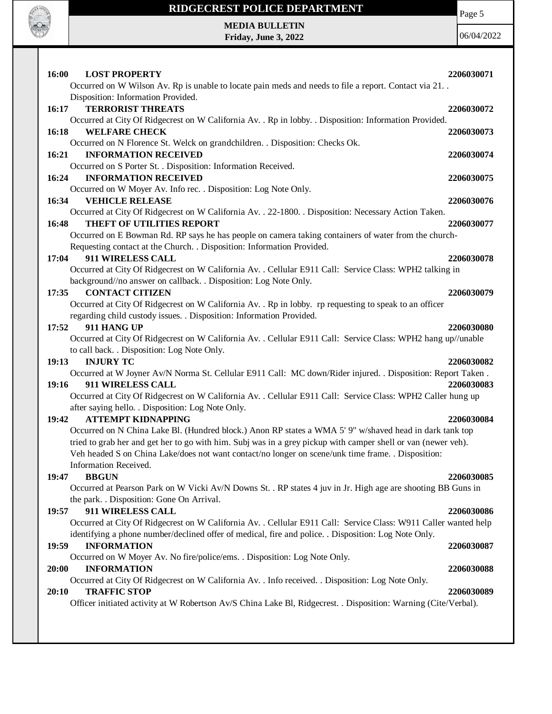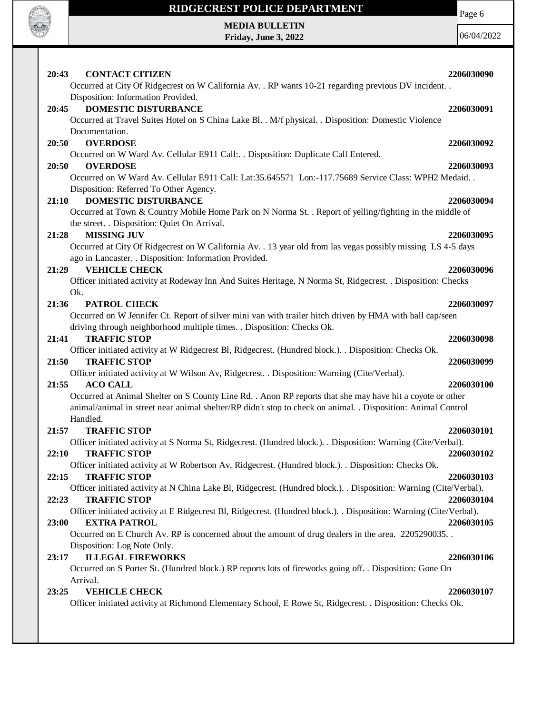

# **RIDGECREST POLICE DEPARTMENT**

Page 6

**MEDIA BULLETIN Friday, June 3, 2022**

| 20:43<br><b>CONTACT CITIZEN</b>                                                                                                                                        | 2206030090 |
|------------------------------------------------------------------------------------------------------------------------------------------------------------------------|------------|
| Occurred at City Of Ridgecrest on W California Av. . RP wants 10-21 regarding previous DV incident. .<br>Disposition: Information Provided.                            |            |
| <b>DOMESTIC DISTURBANCE</b><br>20:45                                                                                                                                   | 2206030091 |
| Occurred at Travel Suites Hotel on S China Lake Bl. . M/f physical. . Disposition: Domestic Violence                                                                   |            |
|                                                                                                                                                                        |            |
| Documentation.<br>20:50<br><b>OVERDOSE</b>                                                                                                                             |            |
|                                                                                                                                                                        | 2206030092 |
| Occurred on W Ward Av. Cellular E911 Call: Disposition: Duplicate Call Entered.                                                                                        |            |
| <b>OVERDOSE</b><br>20:50                                                                                                                                               | 2206030093 |
| Occurred on W Ward Av. Cellular E911 Call: Lat:35.645571 Lon:-117.75689 Service Class: WPH2 Medaid. .                                                                  |            |
| Disposition: Referred To Other Agency.                                                                                                                                 |            |
| <b>DOMESTIC DISTURBANCE</b><br>21:10                                                                                                                                   | 2206030094 |
| Occurred at Town & Country Mobile Home Park on N Norma St. . Report of yelling/fighting in the middle of<br>the street. . Disposition: Quiet On Arrival.               |            |
| <b>MISSING JUV</b><br>21:28                                                                                                                                            | 2206030095 |
| Occurred at City Of Ridgecrest on W California Av. . 13 year old from las vegas possibly missing LS 4-5 days<br>ago in Lancaster. . Disposition: Information Provided. |            |
| 21:29<br><b>VEHICLE CHECK</b>                                                                                                                                          | 2206030096 |
| Officer initiated activity at Rodeway Inn And Suites Heritage, N Norma St, Ridgecrest. . Disposition: Checks                                                           |            |
| Ok.                                                                                                                                                                    |            |
| 21:36<br><b>PATROL CHECK</b>                                                                                                                                           | 2206030097 |
| Occurred on W Jennifer Ct. Report of silver mini van with trailer hitch driven by HMA with ball cap/seen                                                               |            |
| driving through neighborhood multiple times. . Disposition: Checks Ok.                                                                                                 |            |
| <b>TRAFFIC STOP</b><br>21:41                                                                                                                                           | 2206030098 |
| Officer initiated activity at W Ridgecrest Bl, Ridgecrest. (Hundred block.). . Disposition: Checks Ok.                                                                 |            |
| <b>TRAFFIC STOP</b><br>21:50                                                                                                                                           | 2206030099 |
| Officer initiated activity at W Wilson Av, Ridgecrest. . Disposition: Warning (Cite/Verbal).                                                                           |            |
| 21:55<br><b>ACO CALL</b>                                                                                                                                               | 2206030100 |
| Occurred at Animal Shelter on S County Line Rd. . Anon RP reports that she may have hit a coyote or other                                                              |            |
| animal/animal in street near animal shelter/RP didn't stop to check on animal. . Disposition: Animal Control                                                           |            |
| Handled.                                                                                                                                                               |            |
| 21:57<br><b>TRAFFIC STOP</b>                                                                                                                                           | 2206030101 |
| Officer initiated activity at S Norma St, Ridgecrest. (Hundred block.). Disposition: Warning (Cite/Verbal).                                                            |            |
| <b>TRAFFIC STOP</b><br>22:10                                                                                                                                           | 2206030102 |
| Officer initiated activity at W Robertson Av, Ridgecrest. (Hundred block.). . Disposition: Checks Ok.                                                                  |            |
| <b>TRAFFIC STOP</b><br>22:15                                                                                                                                           | 2206030103 |
| Officer initiated activity at N China Lake Bl, Ridgecrest. (Hundred block.). . Disposition: Warning (Cite/Verbal).                                                     |            |
| <b>TRAFFIC STOP</b><br>22:23                                                                                                                                           | 2206030104 |
| Officer initiated activity at E Ridgecrest Bl, Ridgecrest. (Hundred block.). . Disposition: Warning (Cite/Verbal).                                                     |            |
| <b>EXTRA PATROL</b><br>23:00                                                                                                                                           | 2206030105 |
| Occurred on E Church Av. RP is concerned about the amount of drug dealers in the area. 2205290035.                                                                     |            |
| Disposition: Log Note Only.                                                                                                                                            |            |
| <b>ILLEGAL FIREWORKS</b><br>23:17                                                                                                                                      | 2206030106 |
| Occurred on S Porter St. (Hundred block.) RP reports lots of fireworks going off. . Disposition: Gone On                                                               |            |
| Arrival.                                                                                                                                                               |            |
| <b>VEHICLE CHECK</b><br>23:25                                                                                                                                          | 2206030107 |
| Officer initiated activity at Richmond Elementary School, E Rowe St, Ridgecrest. . Disposition: Checks Ok.                                                             |            |
|                                                                                                                                                                        |            |
|                                                                                                                                                                        |            |
|                                                                                                                                                                        |            |